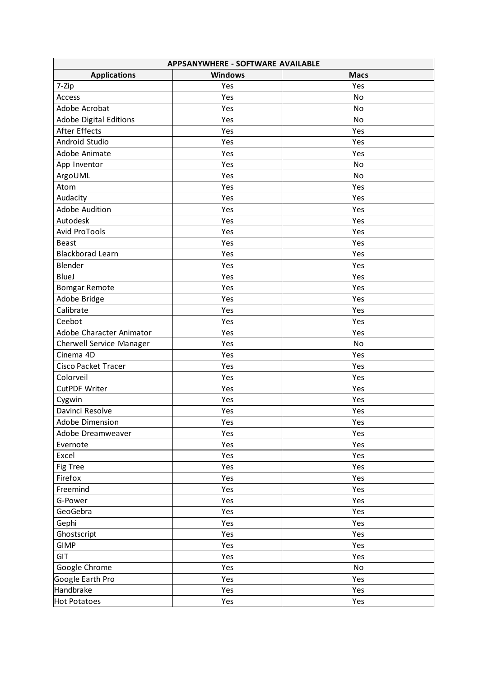| APPSANYWHERE - SOFTWARE AVAILABLE |                |             |  |  |
|-----------------------------------|----------------|-------------|--|--|
| <b>Applications</b>               | <b>Windows</b> | <b>Macs</b> |  |  |
| 7-Zip                             | Yes            | Yes         |  |  |
| Access                            | Yes            | No          |  |  |
| Adobe Acrobat                     | Yes            | No          |  |  |
| <b>Adobe Digital Editions</b>     | Yes            | No          |  |  |
| After Effects                     | Yes            | Yes         |  |  |
| Android Studio                    | Yes            | Yes         |  |  |
| Adobe Animate                     | Yes            | Yes         |  |  |
| App Inventor                      | Yes            | No          |  |  |
| ArgoUML                           | Yes            | No          |  |  |
| Atom                              | Yes            | Yes         |  |  |
| Audacity                          | Yes            | Yes         |  |  |
| Adobe Audition                    | Yes            | Yes         |  |  |
| Autodesk                          | Yes            | Yes         |  |  |
| Avid ProTools                     | Yes            | Yes         |  |  |
| <b>Beast</b>                      | Yes            | Yes         |  |  |
| <b>Blackborad Learn</b>           | Yes            | Yes         |  |  |
| Blender                           | Yes            | Yes         |  |  |
| <b>BlueJ</b>                      | Yes            | Yes         |  |  |
| <b>Bomgar Remote</b>              | Yes            | Yes         |  |  |
| Adobe Bridge                      | Yes            | Yes         |  |  |
| Calibrate                         | Yes            | Yes         |  |  |
| Ceebot                            | Yes            | Yes         |  |  |
| Adobe Character Animator          | Yes            | Yes         |  |  |
| Cherwell Service Manager          | Yes            | No          |  |  |
| Cinema 4D                         | Yes            | Yes         |  |  |
| Cisco Packet Tracer               | Yes            | Yes         |  |  |
| Colorveil                         | Yes            | Yes         |  |  |
| CutPDF Writer                     | Yes            | Yes         |  |  |
| Cygwin                            | Yes            | Yes         |  |  |
| Davinci Resolve                   | Yes            | Yes         |  |  |
| Adobe Dimension                   | Yes            | Yes         |  |  |
| Adobe Dreamweaver                 | Yes            | Yes         |  |  |
| Evernote                          | Yes            | Yes         |  |  |
| Excel                             | Yes            | Yes         |  |  |
| Fig Tree                          | Yes            | Yes         |  |  |
| Firefox                           | Yes            | Yes         |  |  |
| Freemind                          | Yes            | Yes         |  |  |
| G-Power                           | Yes            | Yes         |  |  |
| GeoGebra                          | Yes            | Yes         |  |  |
| Gephi                             | Yes            | Yes         |  |  |
| Ghostscript                       | Yes            | Yes         |  |  |
| <b>GIMP</b>                       | Yes            | Yes         |  |  |
| GIT                               | Yes            | Yes         |  |  |
| Google Chrome                     | Yes            | No          |  |  |
| Google Earth Pro                  | Yes            | Yes         |  |  |
| Handbrake                         | Yes            | Yes         |  |  |
| Hot Potatoes                      | Yes            | Yes         |  |  |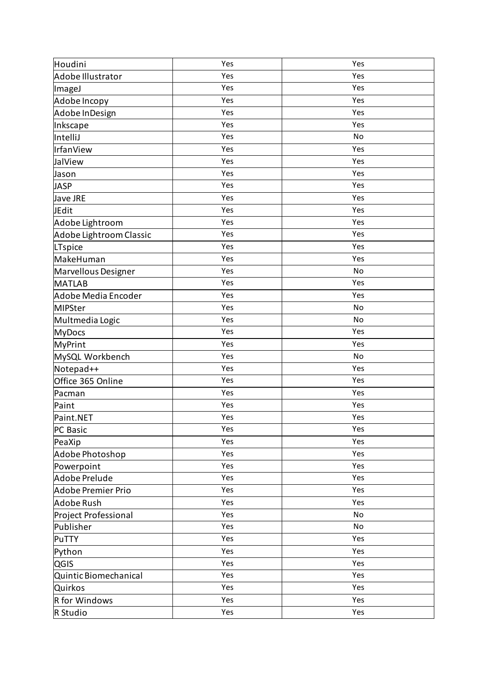| Houdini                 | Yes | Yes |
|-------------------------|-----|-----|
| Adobe Illustrator       | Yes | Yes |
| ImageJ                  | Yes | Yes |
| Adobe Incopy            | Yes | Yes |
| Adobe InDesign          | Yes | Yes |
| Inkscape                | Yes | Yes |
| IntelliJ                | Yes | No  |
| IrfanView               | Yes | Yes |
| JalView                 | Yes | Yes |
| Jason                   | Yes | Yes |
| <b>JASP</b>             | Yes | Yes |
| Jave JRE                | Yes | Yes |
| JEdit                   | Yes | Yes |
| Adobe Lightroom         | Yes | Yes |
| Adobe Lightroom Classic | Yes | Yes |
| LTspice                 | Yes | Yes |
| MakeHuman               | Yes | Yes |
| Marvellous Designer     | Yes | No  |
| <b>MATLAB</b>           | Yes | Yes |
| Adobe Media Encoder     | Yes | Yes |
| MIPSter                 | Yes | No  |
| Multmedia Logic         | Yes | No  |
| <b>MyDocs</b>           | Yes | Yes |
| <b>MyPrint</b>          | Yes | Yes |
| MySQL Workbench         | Yes | No  |
| Notepad++               | Yes | Yes |
| Office 365 Online       | Yes | Yes |
| Pacman                  | Yes | Yes |
| Paint                   | Yes | Yes |
| Paint.NET               | Yes | Yes |
| PC Basic                | Yes | Yes |
| PeaXip                  | Yes | Yes |
| Adobe Photoshop         | Yes | Yes |
| Powerpoint              | Yes | Yes |
| Adobe Prelude           | Yes | Yes |
| Adobe Premier Prio      | Yes | Yes |
| Adobe Rush              | Yes | Yes |
| Project Professional    | Yes | No  |
| Publisher               | Yes | No  |
| PuTTY                   | Yes | Yes |
| Python                  | Yes | Yes |
| <b>QGIS</b>             | Yes | Yes |
| Quintic Biomechanical   | Yes | Yes |
| Quirkos                 | Yes | Yes |
| R for Windows           | Yes | Yes |
| R Studio                | Yes | Yes |